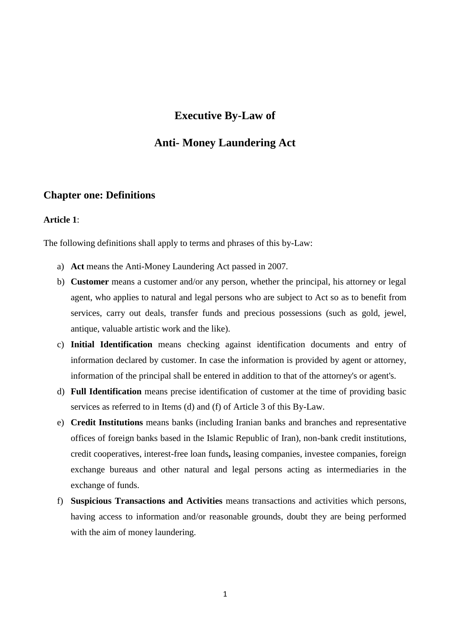# **Executive By-Law of**

# **Anti- Money Laundering Act**

# **Chapter one: Definitions**

#### **Article 1**:

The following definitions shall apply to terms and phrases of this by-Law:

- a) **Act** means the Anti-Money Laundering Act passed in 2007.
- b) **Customer** means a customer and/or any person, whether the principal, his attorney or legal agent, who applies to natural and legal persons who are subject to Act so as to benefit from services, carry out deals, transfer funds and precious possessions (such as gold, jewel, antique, valuable artistic work and the like).
- c) **Initial Identification** means checking against identification documents and entry of information declared by customer. In case the information is provided by agent or attorney, information of the principal shall be entered in addition to that of the attorney's or agent's.
- d) **Full Identification** means precise identification of customer at the time of providing basic services as referred to in Items (d) and (f) of Article 3 of this By-Law.
- e) **Credit Institutions** means banks (including Iranian banks and branches and representative offices of foreign banks based in the Islamic Republic of Iran), non-bank credit institutions, credit cooperatives, interest-free loan funds**,** leasing companies, investee companies, foreign exchange bureaus and other natural and legal persons acting as intermediaries in the exchange of funds.
- f) **Suspicious Transactions and Activities** means transactions and activities which persons, having access to information and/or reasonable grounds, doubt they are being performed with the aim of money laundering.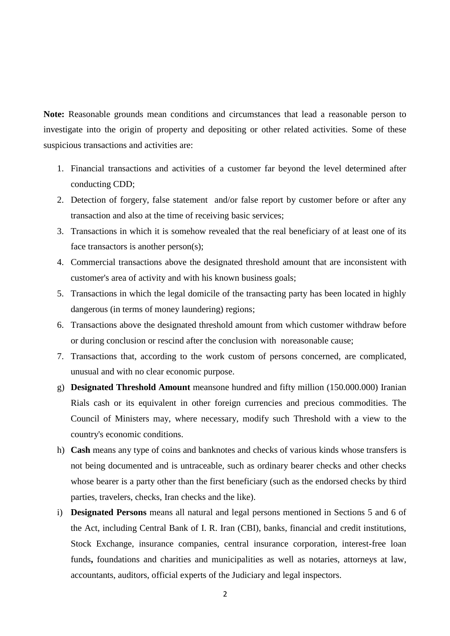**Note:** Reasonable grounds mean conditions and circumstances that lead a reasonable person to investigate into the origin of property and depositing or other related activities. Some of these suspicious transactions and activities are:

- 1. Financial transactions and activities of a customer far beyond the level determined after conducting CDD;
- 2. Detection of forgery, false statement and/or false report by customer before or after any transaction and also at the time of receiving basic services;
- 3. Transactions in which it is somehow revealed that the real beneficiary of at least one of its face transactors is another person(s);
- 4. Commercial transactions above the designated threshold amount that are inconsistent with customer's area of activity and with his known business goals;
- 5. Transactions in which the legal domicile of the transacting party has been located in highly dangerous (in terms of money laundering) regions;
- 6. Transactions above the designated threshold amount from which customer withdraw before or during conclusion or rescind after the conclusion with noreasonable cause;
- 7. Transactions that, according to the work custom of persons concerned, are complicated, unusual and with no clear economic purpose.
- g) **Designated Threshold Amount** meansone hundred and fifty million (150.000.000) Iranian Rials cash or its equivalent in other foreign currencies and precious commodities. The Council of Ministers may, where necessary, modify such Threshold with a view to the country's economic conditions.
- h) **Cash** means any type of coins and banknotes and checks of various kinds whose transfers is not being documented and is untraceable, such as ordinary bearer checks and other checks whose bearer is a party other than the first beneficiary (such as the endorsed checks by third parties, travelers, checks, Iran checks and the like).
- i) **Designated Persons** means all natural and legal persons mentioned in Sections 5 and 6 of the Act, including Central Bank of I. R. Iran (CBI), banks, financial and credit institutions, Stock Exchange, insurance companies, central insurance corporation, interest-free loan funds**,** foundations and charities and municipalities as well as notaries, attorneys at law, accountants, auditors, official experts of the Judiciary and legal inspectors.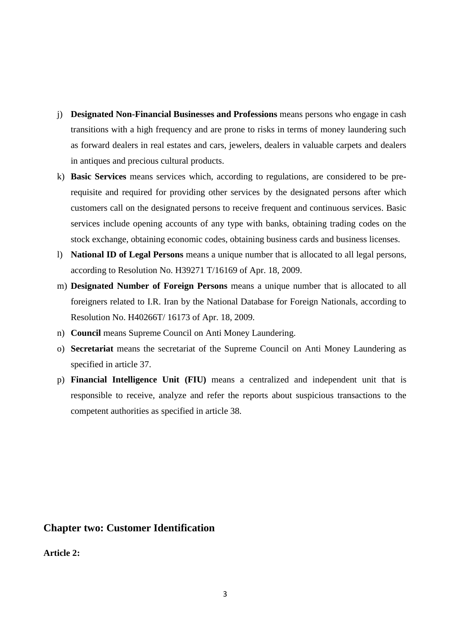- j) **Designated Non-Financial Businesses and Professions** means persons who engage in cash transitions with a high frequency and are prone to risks in terms of money laundering such as forward dealers in real estates and cars, jewelers, dealers in valuable carpets and dealers in antiques and precious cultural products.
- k) **Basic Services** means services which, according to regulations, are considered to be prerequisite and required for providing other services by the designated persons after which customers call on the designated persons to receive frequent and continuous services. Basic services include opening accounts of any type with banks, obtaining trading codes on the stock exchange, obtaining economic codes, obtaining business cards and business licenses.
- l) **National ID of Legal Persons** means a unique number that is allocated to all legal persons, according to Resolution No. H39271 T/16169 of Apr. 18, 2009.
- m) **Designated Number of Foreign Persons** means a unique number that is allocated to all foreigners related to I.R. Iran by the National Database for Foreign Nationals, according to Resolution No. H40266T/ 16173 of Apr. 18, 2009.
- n) **Council** means Supreme Council on Anti Money Laundering.
- o) **Secretariat** means the secretariat of the Supreme Council on Anti Money Laundering as specified in article 37.
- p) **Financial Intelligence Unit (FIU)** means a centralized and independent unit that is responsible to receive, analyze and refer the reports about suspicious transactions to the competent authorities as specified in article 38.

# **Chapter two: Customer Identification**

**Article 2:**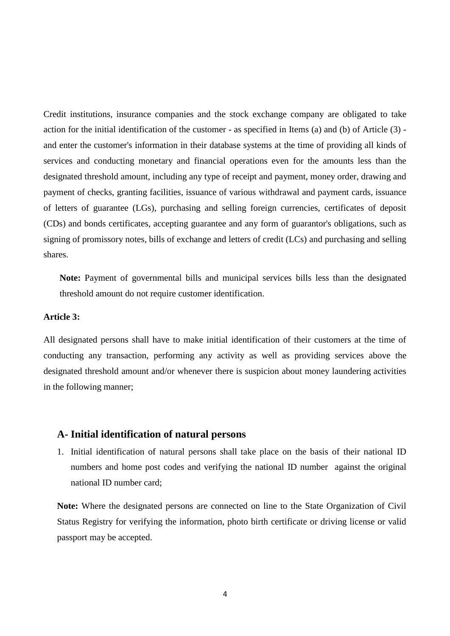Credit institutions, insurance companies and the stock exchange company are obligated to take action for the initial identification of the customer - as specified in Items (a) and (b) of Article (3) and enter the customer's information in their database systems at the time of providing all kinds of services and conducting monetary and financial operations even for the amounts less than the designated threshold amount, including any type of receipt and payment, money order, drawing and payment of checks, granting facilities, issuance of various withdrawal and payment cards, issuance of letters of guarantee (LGs), purchasing and selling foreign currencies, certificates of deposit (CDs) and bonds certificates, accepting guarantee and any form of guarantor's obligations, such as signing of promissory notes, bills of exchange and letters of credit (LCs) and purchasing and selling shares.

**Note:** Payment of governmental bills and municipal services bills less than the designated threshold amount do not require customer identification.

#### **Article 3:**

All designated persons shall have to make initial identification of their customers at the time of conducting any transaction, performing any activity as well as providing services above the designated threshold amount and/or whenever there is suspicion about money laundering activities in the following manner;

# **A- Initial identification of natural persons**

1. Initial identification of natural persons shall take place on the basis of their national ID numbers and home post codes and verifying the national ID number against the original national ID number card;

**Note:** Where the designated persons are connected on line to the State Organization of Civil Status Registry for verifying the information, photo birth certificate or driving license or valid passport may be accepted.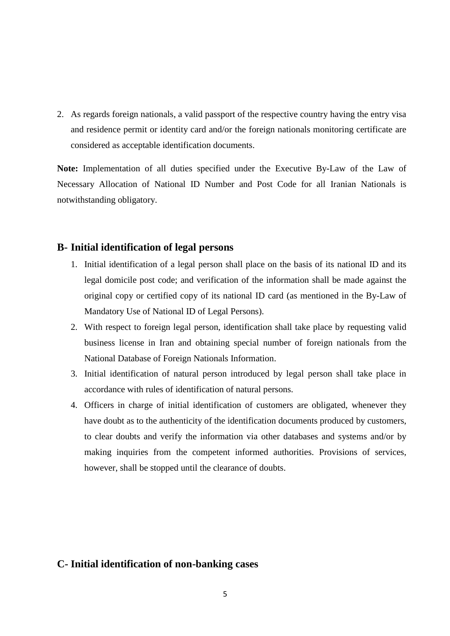2. As regards foreign nationals, a valid passport of the respective country having the entry visa and residence permit or identity card and/or the foreign nationals monitoring certificate are considered as acceptable identification documents.

**Note:** Implementation of all duties specified under the Executive By-Law of the Law of Necessary Allocation of National ID Number and Post Code for all Iranian Nationals is notwithstanding obligatory.

# **B- Initial identification of legal persons**

- 1. Initial identification of a legal person shall place on the basis of its national ID and its legal domicile post code; and verification of the information shall be made against the original copy or certified copy of its national ID card (as mentioned in the By-Law of Mandatory Use of National ID of Legal Persons).
- 2. With respect to foreign legal person, identification shall take place by requesting valid business license in Iran and obtaining special number of foreign nationals from the National Database of Foreign Nationals Information.
- 3. Initial identification of natural person introduced by legal person shall take place in accordance with rules of identification of natural persons.
- 4. Officers in charge of initial identification of customers are obligated, whenever they have doubt as to the authenticity of the identification documents produced by customers, to clear doubts and verify the information via other databases and systems and/or by making inquiries from the competent informed authorities. Provisions of services, however, shall be stopped until the clearance of doubts.

# **C- Initial identification of non-banking cases**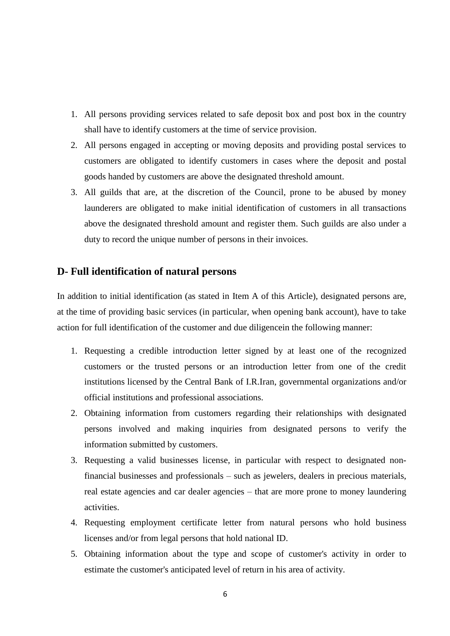- 1. All persons providing services related to safe deposit box and post box in the country shall have to identify customers at the time of service provision.
- 2. All persons engaged in accepting or moving deposits and providing postal services to customers are obligated to identify customers in cases where the deposit and postal goods handed by customers are above the designated threshold amount.
- 3. All guilds that are, at the discretion of the Council, prone to be abused by money launderers are obligated to make initial identification of customers in all transactions above the designated threshold amount and register them. Such guilds are also under a duty to record the unique number of persons in their invoices.

# **D- Full identification of natural persons**

In addition to initial identification (as stated in Item A of this Article), designated persons are, at the time of providing basic services (in particular, when opening bank account), have to take action for full identification of the customer and due diligencein the following manner:

- 1. Requesting a credible introduction letter signed by at least one of the recognized customers or the trusted persons or an introduction letter from one of the credit institutions licensed by the Central Bank of I.R.Iran, governmental organizations and/or official institutions and professional associations.
- 2. Obtaining information from customers regarding their relationships with designated persons involved and making inquiries from designated persons to verify the information submitted by customers.
- 3. Requesting a valid businesses license, in particular with respect to designated nonfinancial businesses and professionals – such as jewelers, dealers in precious materials, real estate agencies and car dealer agencies – that are more prone to money laundering activities.
- 4. Requesting employment certificate letter from natural persons who hold business licenses and/or from legal persons that hold national ID.
- 5. Obtaining information about the type and scope of customer's activity in order to estimate the customer's anticipated level of return in his area of activity.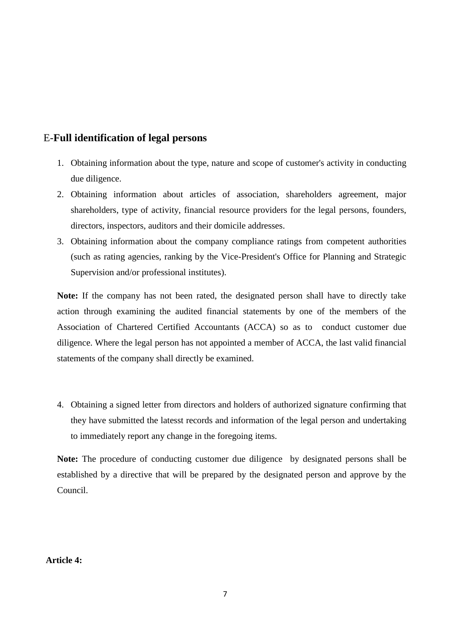# E-**Full identification of legal persons**

- 1. Obtaining information about the type, nature and scope of customer's activity in conducting due diligence.
- 2. Obtaining information about articles of association, shareholders agreement, major shareholders, type of activity, financial resource providers for the legal persons, founders, directors, inspectors, auditors and their domicile addresses.
- 3. Obtaining information about the company compliance ratings from competent authorities (such as rating agencies, ranking by the Vice-President's Office for Planning and Strategic Supervision and/or professional institutes).

**Note:** If the company has not been rated, the designated person shall have to directly take action through examining the audited financial statements by one of the members of the Association of Chartered Certified Accountants (ACCA) so as to conduct customer due diligence. Where the legal person has not appointed a member of ACCA, the last valid financial statements of the company shall directly be examined.

4. Obtaining a signed letter from directors and holders of authorized signature confirming that they have submitted the latesst records and information of the legal person and undertaking to immediately report any change in the foregoing items.

**Note:** The procedure of conducting customer due diligence by designated persons shall be established by a directive that will be prepared by the designated person and approve by the Council.

**Article 4:**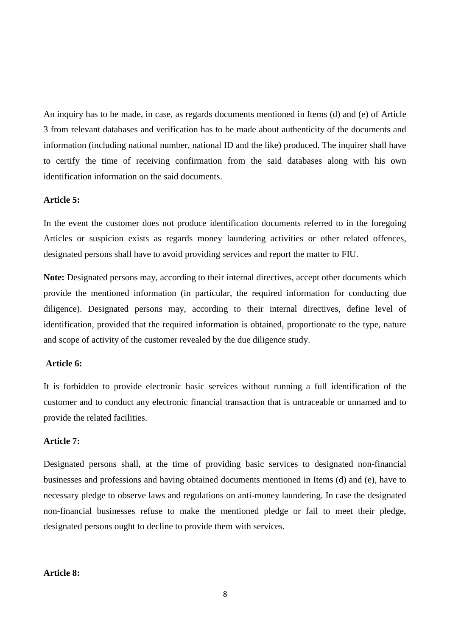An inquiry has to be made, in case, as regards documents mentioned in Items (d) and (e) of Article 3 from relevant databases and verification has to be made about authenticity of the documents and information (including national number, national ID and the like) produced. The inquirer shall have to certify the time of receiving confirmation from the said databases along with his own identification information on the said documents.

## **Article 5:**

In the event the customer does not produce identification documents referred to in the foregoing Articles or suspicion exists as regards money laundering activities or other related offences, designated persons shall have to avoid providing services and report the matter to FIU.

**Note:** Designated persons may, according to their internal directives, accept other documents which provide the mentioned information (in particular, the required information for conducting due diligence). Designated persons may, according to their internal directives, define level of identification, provided that the required information is obtained, proportionate to the type, nature and scope of activity of the customer revealed by the due diligence study.

## **Article 6:**

It is forbidden to provide electronic basic services without running a full identification of the customer and to conduct any electronic financial transaction that is untraceable or unnamed and to provide the related facilities.

#### **Article 7:**

Designated persons shall, at the time of providing basic services to designated non-financial businesses and professions and having obtained documents mentioned in Items (d) and (e), have to necessary pledge to observe laws and regulations on anti-money laundering. In case the designated non-financial businesses refuse to make the mentioned pledge or fail to meet their pledge, designated persons ought to decline to provide them with services.

#### **Article 8:**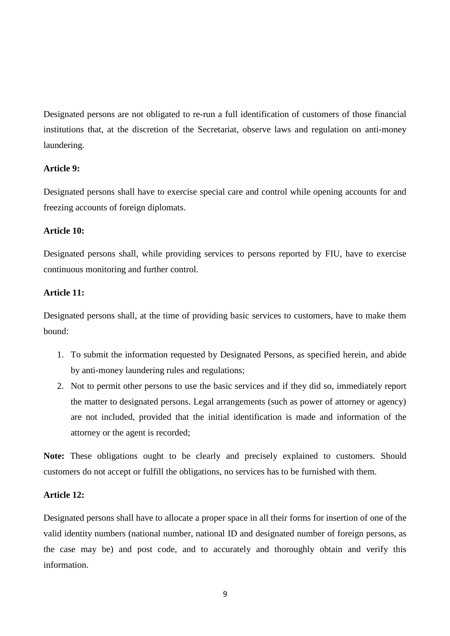Designated persons are not obligated to re-run a full identification of customers of those financial institutions that, at the discretion of the Secretariat, observe laws and regulation on anti-money laundering.

# **Article 9:**

Designated persons shall have to exercise special care and control while opening accounts for and freezing accounts of foreign diplomats.

## **Article 10:**

Designated persons shall, while providing services to persons reported by FIU, have to exercise continuous monitoring and further control.

## **Article 11:**

Designated persons shall, at the time of providing basic services to customers, have to make them bound:

- 1. To submit the information requested by Designated Persons, as specified herein, and abide by anti-money laundering rules and regulations;
- 2. Not to permit other persons to use the basic services and if they did so, immediately report the matter to designated persons. Legal arrangements (such as power of attorney or agency) are not included, provided that the initial identification is made and information of the attorney or the agent is recorded;

**Note:** These obligations ought to be clearly and precisely explained to customers. Should customers do not accept or fulfill the obligations, no services has to be furnished with them.

### **Article 12:**

Designated persons shall have to allocate a proper space in all their forms for insertion of one of the valid identity numbers (national number, national ID and designated number of foreign persons, as the case may be) and post code, and to accurately and thoroughly obtain and verify this information.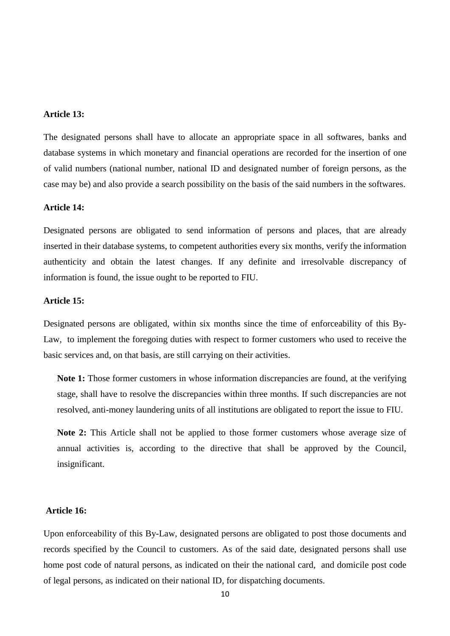### **Article 13:**

The designated persons shall have to allocate an appropriate space in all softwares, banks and database systems in which monetary and financial operations are recorded for the insertion of one of valid numbers (national number, national ID and designated number of foreign persons, as the case may be) and also provide a search possibility on the basis of the said numbers in the softwares.

### **Article 14:**

Designated persons are obligated to send information of persons and places, that are already inserted in their database systems, to competent authorities every six months, verify the information authenticity and obtain the latest changes. If any definite and irresolvable discrepancy of information is found, the issue ought to be reported to FIU.

#### **Article 15:**

Designated persons are obligated, within six months since the time of enforceability of this By-Law, to implement the foregoing duties with respect to former customers who used to receive the basic services and, on that basis, are still carrying on their activities.

**Note 1:** Those former customers in whose information discrepancies are found, at the verifying stage, shall have to resolve the discrepancies within three months. If such discrepancies are not resolved, anti-money laundering units of all institutions are obligated to report the issue to FIU.

**Note 2:** This Article shall not be applied to those former customers whose average size of annual activities is, according to the directive that shall be approved by the Council, insignificant.

## **Article 16:**

Upon enforceability of this By-Law, designated persons are obligated to post those documents and records specified by the Council to customers. As of the said date, designated persons shall use home post code of natural persons, as indicated on their the national card, and domicile post code of legal persons, as indicated on their national ID, for dispatching documents.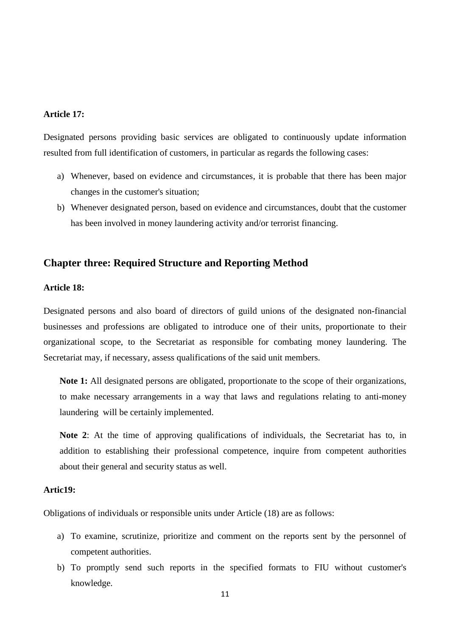## **Article 17:**

Designated persons providing basic services are obligated to continuously update information resulted from full identification of customers, in particular as regards the following cases:

- a) Whenever, based on evidence and circumstances, it is probable that there has been major changes in the customer's situation;
- b) Whenever designated person, based on evidence and circumstances, doubt that the customer has been involved in money laundering activity and/or terrorist financing.

# **Chapter three: Required Structure and Reporting Method**

#### **Article 18:**

Designated persons and also board of directors of guild unions of the designated non-financial businesses and professions are obligated to introduce one of their units, proportionate to their organizational scope, to the Secretariat as responsible for combating money laundering. The Secretariat may, if necessary, assess qualifications of the said unit members.

**Note 1:** All designated persons are obligated, proportionate to the scope of their organizations, to make necessary arrangements in a way that laws and regulations relating to anti-money laundering will be certainly implemented.

**Note 2**: At the time of approving qualifications of individuals, the Secretariat has to, in addition to establishing their professional competence, inquire from competent authorities about their general and security status as well.

#### **Artic19:**

Obligations of individuals or responsible units under Article (18) are as follows:

- a) To examine, scrutinize, prioritize and comment on the reports sent by the personnel of competent authorities.
- b) To promptly send such reports in the specified formats to FIU without customer's knowledge.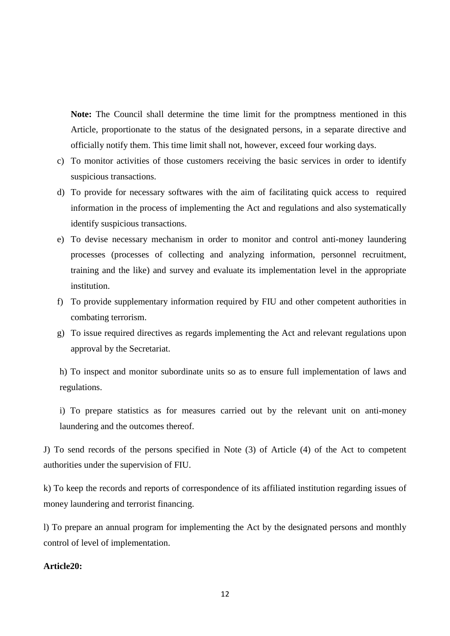**Note:** The Council shall determine the time limit for the promptness mentioned in this Article, proportionate to the status of the designated persons, in a separate directive and officially notify them. This time limit shall not, however, exceed four working days.

- c) To monitor activities of those customers receiving the basic services in order to identify suspicious transactions.
- d) To provide for necessary softwares with the aim of facilitating quick access to required information in the process of implementing the Act and regulations and also systematically identify suspicious transactions.
- e) To devise necessary mechanism in order to monitor and control anti-money laundering processes (processes of collecting and analyzing information, personnel recruitment, training and the like) and survey and evaluate its implementation level in the appropriate institution.
- f) To provide supplementary information required by FIU and other competent authorities in combating terrorism.
- g) To issue required directives as regards implementing the Act and relevant regulations upon approval by the Secretariat.

h) To inspect and monitor subordinate units so as to ensure full implementation of laws and regulations.

i) To prepare statistics as for measures carried out by the relevant unit on anti-money laundering and the outcomes thereof.

J) To send records of the persons specified in Note (3) of Article (4) of the Act to competent authorities under the supervision of FIU.

k) To keep the records and reports of correspondence of its affiliated institution regarding issues of money laundering and terrorist financing.

l) To prepare an annual program for implementing the Act by the designated persons and monthly control of level of implementation.

## **Article20:**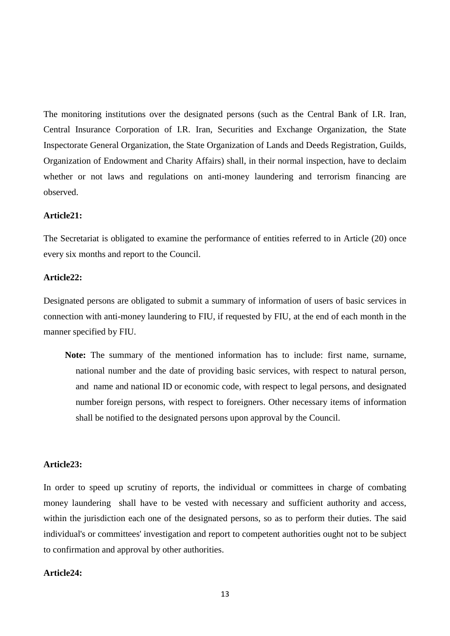The monitoring institutions over the designated persons (such as the Central Bank of I.R. Iran, Central Insurance Corporation of I.R. Iran, Securities and Exchange Organization, the State Inspectorate General Organization, the State Organization of Lands and Deeds Registration, Guilds, Organization of Endowment and Charity Affairs) shall, in their normal inspection, have to declaim whether or not laws and regulations on anti-money laundering and terrorism financing are observed.

# **Article21:**

The Secretariat is obligated to examine the performance of entities referred to in Article (20) once every six months and report to the Council.

## **Article22:**

Designated persons are obligated to submit a summary of information of users of basic services in connection with anti-money laundering to FIU, if requested by FIU, at the end of each month in the manner specified by FIU.

**Note:** The summary of the mentioned information has to include: first name, surname, national number and the date of providing basic services, with respect to natural person, and name and national ID or economic code, with respect to legal persons, and designated number foreign persons, with respect to foreigners. Other necessary items of information shall be notified to the designated persons upon approval by the Council.

### **Article23:**

In order to speed up scrutiny of reports, the individual or committees in charge of combating money laundering shall have to be vested with necessary and sufficient authority and access, within the jurisdiction each one of the designated persons, so as to perform their duties. The said individual's or committees' investigation and report to competent authorities ought not to be subject to confirmation and approval by other authorities.

#### **Article24:**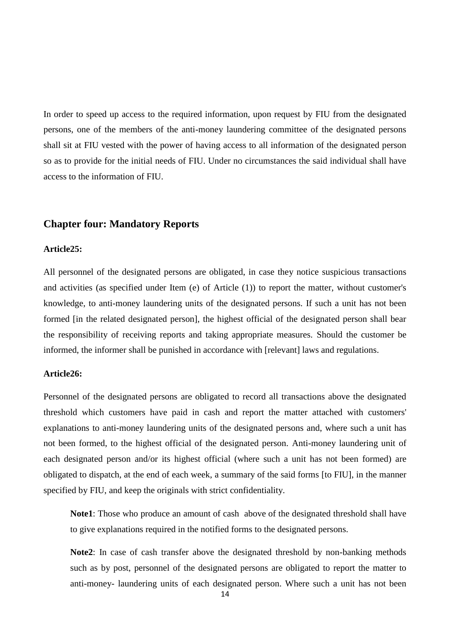In order to speed up access to the required information, upon request by FIU from the designated persons, one of the members of the anti-money laundering committee of the designated persons shall sit at FIU vested with the power of having access to all information of the designated person so as to provide for the initial needs of FIU. Under no circumstances the said individual shall have access to the information of FIU.

# **Chapter four: Mandatory Reports**

### **Article25:**

All personnel of the designated persons are obligated, in case they notice suspicious transactions and activities (as specified under Item (e) of Article (1)) to report the matter, without customer's knowledge, to anti-money laundering units of the designated persons. If such a unit has not been formed [in the related designated person], the highest official of the designated person shall bear the responsibility of receiving reports and taking appropriate measures. Should the customer be informed, the informer shall be punished in accordance with [relevant] laws and regulations.

## **Article26:**

Personnel of the designated persons are obligated to record all transactions above the designated threshold which customers have paid in cash and report the matter attached with customers' explanations to anti-money laundering units of the designated persons and, where such a unit has not been formed, to the highest official of the designated person. Anti-money laundering unit of each designated person and/or its highest official (where such a unit has not been formed) are obligated to dispatch, at the end of each week, a summary of the said forms [to FIU], in the manner specified by FIU, and keep the originals with strict confidentiality.

**Note1**: Those who produce an amount of cash above of the designated threshold shall have to give explanations required in the notified forms to the designated persons.

**Note2**: In case of cash transfer above the designated threshold by non-banking methods such as by post, personnel of the designated persons are obligated to report the matter to anti-money- laundering units of each designated person. Where such a unit has not been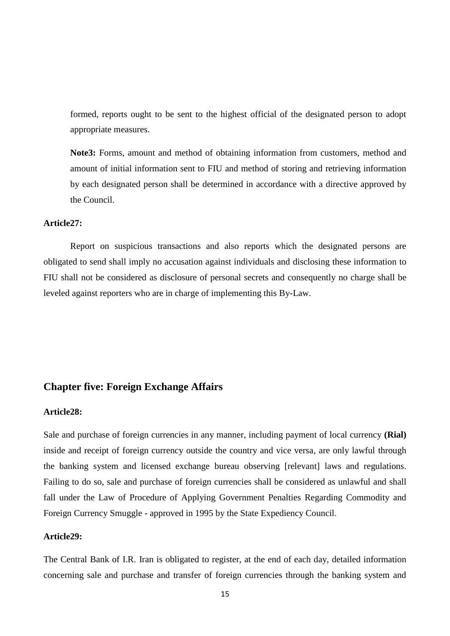formed, reports ought to be sent to the highest official of the designated person to adopt appropriate measures.

**Note3:** Forms, amount and method of obtaining information from customers, method and amount of initial information sent to FIU and method of storing and retrieving information by each designated person shall be determined in accordance with a directive approved by the Council.

## **Article27:**

Report on suspicious transactions and also reports which the designated persons are obligated to send shall imply no accusation against individuals and disclosing these information to FIU shall not be considered as disclosure of personal secrets and consequently no charge shall be leveled against reporters who are in charge of implementing this By-Law.

# **Chapter five: Foreign Exchange Affairs**

## **Article28:**

Sale and purchase of foreign currencies in any manner, including payment of local currency **(Rial)** inside and receipt of foreign currency outside the country and vice versa, are only lawful through the banking system and licensed exchange bureau observing [relevant] laws and regulations. Failing to do so, sale and purchase of foreign currencies shall be considered as unlawful and shall fall under the Law of Procedure of Applying Government Penalties Regarding Commodity and Foreign Currency Smuggle - approved in 1995 by the State Expediency Council.

#### **Article29:**

The Central Bank of I.R. Iran is obligated to register, at the end of each day, detailed information concerning sale and purchase and transfer of foreign currencies through the banking system and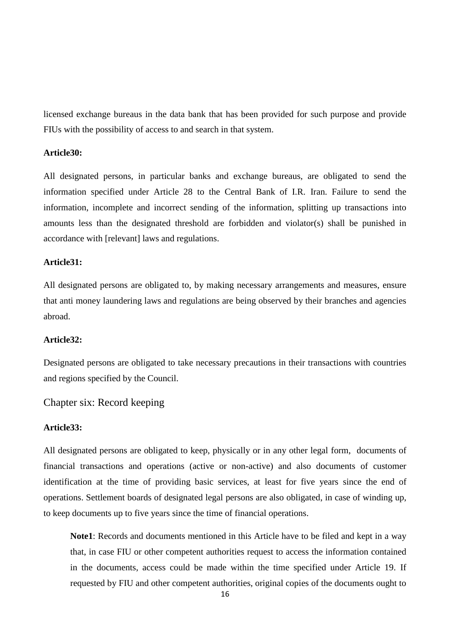licensed exchange bureaus in the data bank that has been provided for such purpose and provide FIUs with the possibility of access to and search in that system.

#### **Article30:**

All designated persons, in particular banks and exchange bureaus, are obligated to send the information specified under Article 28 to the Central Bank of I.R. Iran. Failure to send the information, incomplete and incorrect sending of the information, splitting up transactions into amounts less than the designated threshold are forbidden and violator(s) shall be punished in accordance with [relevant] laws and regulations.

# **Article31:**

All designated persons are obligated to, by making necessary arrangements and measures, ensure that anti money laundering laws and regulations are being observed by their branches and agencies abroad.

## **Article32:**

Designated persons are obligated to take necessary precautions in their transactions with countries and regions specified by the Council.

# Chapter six: Record keeping

# **Article33:**

All designated persons are obligated to keep, physically or in any other legal form, documents of financial transactions and operations (active or non-active) and also documents of customer identification at the time of providing basic services, at least for five years since the end of operations. Settlement boards of designated legal persons are also obligated, in case of winding up, to keep documents up to five years since the time of financial operations.

**Note1**: Records and documents mentioned in this Article have to be filed and kept in a way that, in case FIU or other competent authorities request to access the information contained in the documents, access could be made within the time specified under Article 19. If requested by FIU and other competent authorities, original copies of the documents ought to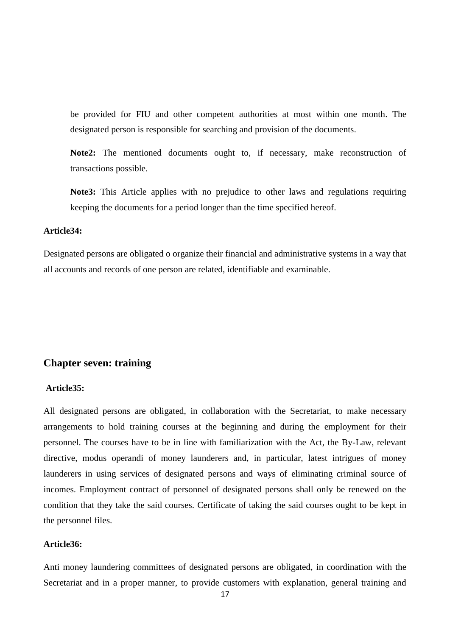be provided for FIU and other competent authorities at most within one month. The designated person is responsible for searching and provision of the documents.

**Note2:** The mentioned documents ought to, if necessary, make reconstruction of transactions possible.

**Note3:** This Article applies with no prejudice to other laws and regulations requiring keeping the documents for a period longer than the time specified hereof.

# **Article34:**

Designated persons are obligated o organize their financial and administrative systems in a way that all accounts and records of one person are related, identifiable and examinable.

## **Chapter seven: training**

### **Article35:**

All designated persons are obligated, in collaboration with the Secretariat, to make necessary arrangements to hold training courses at the beginning and during the employment for their personnel. The courses have to be in line with familiarization with the Act, the By-Law, relevant directive, modus operandi of money launderers and, in particular, latest intrigues of money launderers in using services of designated persons and ways of eliminating criminal source of incomes. Employment contract of personnel of designated persons shall only be renewed on the condition that they take the said courses. Certificate of taking the said courses ought to be kept in the personnel files.

# **Article36:**

Anti money laundering committees of designated persons are obligated, in coordination with the Secretariat and in a proper manner, to provide customers with explanation, general training and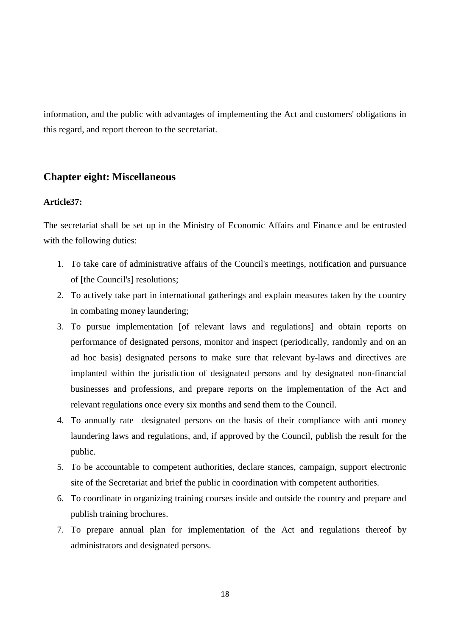information, and the public with advantages of implementing the Act and customers' obligations in this regard, and report thereon to the secretariat.

# **Chapter eight: Miscellaneous**

#### **Article37:**

The secretariat shall be set up in the Ministry of Economic Affairs and Finance and be entrusted with the following duties:

- 1. To take care of administrative affairs of the Council's meetings, notification and pursuance of [the Council's] resolutions;
- 2. To actively take part in international gatherings and explain measures taken by the country in combating money laundering;
- 3. To pursue implementation [of relevant laws and regulations] and obtain reports on performance of designated persons, monitor and inspect (periodically, randomly and on an ad hoc basis) designated persons to make sure that relevant by-laws and directives are implanted within the jurisdiction of designated persons and by designated non-financial businesses and professions, and prepare reports on the implementation of the Act and relevant regulations once every six months and send them to the Council.
- 4. To annually rate designated persons on the basis of their compliance with anti money laundering laws and regulations, and, if approved by the Council, publish the result for the public.
- 5. To be accountable to competent authorities, declare stances, campaign, support electronic site of the Secretariat and brief the public in coordination with competent authorities.
- 6. To coordinate in organizing training courses inside and outside the country and prepare and publish training brochures.
- 7. To prepare annual plan for implementation of the Act and regulations thereof by administrators and designated persons.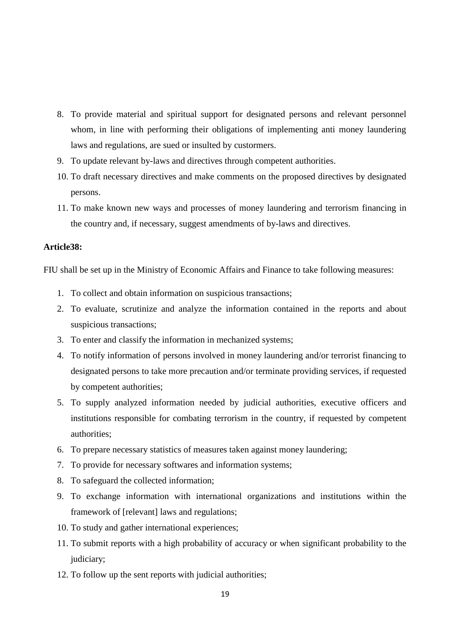- 8. To provide material and spiritual support for designated persons and relevant personnel whom, in line with performing their obligations of implementing anti money laundering laws and regulations, are sued or insulted by custormers.
- 9. To update relevant by-laws and directives through competent authorities.
- 10. To draft necessary directives and make comments on the proposed directives by designated persons.
- 11. To make known new ways and processes of money laundering and terrorism financing in the country and, if necessary, suggest amendments of by-laws and directives.

# **Article38:**

FIU shall be set up in the Ministry of Economic Affairs and Finance to take following measures:

- 1. To collect and obtain information on suspicious transactions;
- 2. To evaluate, scrutinize and analyze the information contained in the reports and about suspicious transactions;
- 3. To enter and classify the information in mechanized systems;
- 4. To notify information of persons involved in money laundering and/or terrorist financing to designated persons to take more precaution and/or terminate providing services, if requested by competent authorities;
- 5. To supply analyzed information needed by judicial authorities, executive officers and institutions responsible for combating terrorism in the country, if requested by competent authorities;
- 6. To prepare necessary statistics of measures taken against money laundering;
- 7. To provide for necessary softwares and information systems;
- 8. To safeguard the collected information;
- 9. To exchange information with international organizations and institutions within the framework of [relevant] laws and regulations;
- 10. To study and gather international experiences;
- 11. To submit reports with a high probability of accuracy or when significant probability to the judiciary;
- 12. To follow up the sent reports with judicial authorities;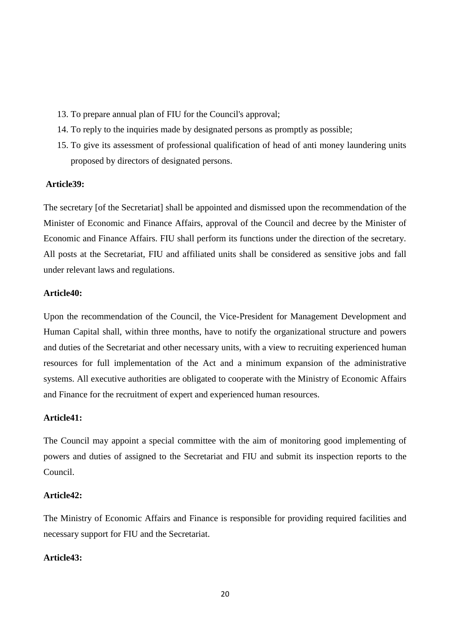- 13. To prepare annual plan of FIU for the Council's approval;
- 14. To reply to the inquiries made by designated persons as promptly as possible;
- 15. To give its assessment of professional qualification of head of anti money laundering units proposed by directors of designated persons.

#### **Article39:**

The secretary [of the Secretariat] shall be appointed and dismissed upon the recommendation of the Minister of Economic and Finance Affairs, approval of the Council and decree by the Minister of Economic and Finance Affairs. FIU shall perform its functions under the direction of the secretary. All posts at the Secretariat, FIU and affiliated units shall be considered as sensitive jobs and fall under relevant laws and regulations.

# **Article40:**

Upon the recommendation of the Council, the Vice-President for Management Development and Human Capital shall, within three months, have to notify the organizational structure and powers and duties of the Secretariat and other necessary units, with a view to recruiting experienced human resources for full implementation of the Act and a minimum expansion of the administrative systems. All executive authorities are obligated to cooperate with the Ministry of Economic Affairs and Finance for the recruitment of expert and experienced human resources.

## **Article41:**

The Council may appoint a special committee with the aim of monitoring good implementing of powers and duties of assigned to the Secretariat and FIU and submit its inspection reports to the Council.

## **Article42:**

The Ministry of Economic Affairs and Finance is responsible for providing required facilities and necessary support for FIU and the Secretariat.

# **Article43:**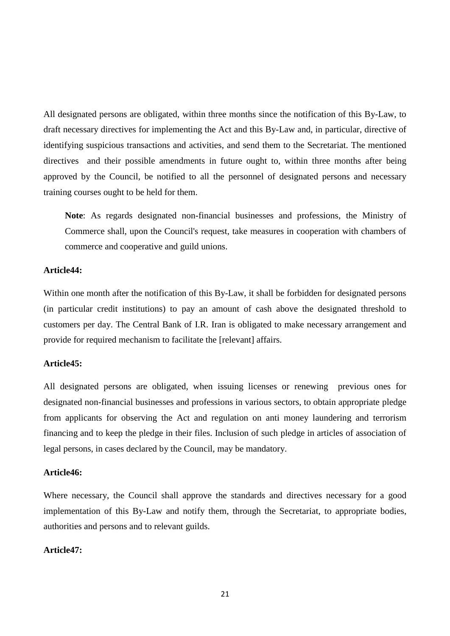All designated persons are obligated, within three months since the notification of this By-Law, to draft necessary directives for implementing the Act and this By-Law and, in particular, directive of identifying suspicious transactions and activities, and send them to the Secretariat. The mentioned directives and their possible amendments in future ought to, within three months after being approved by the Council, be notified to all the personnel of designated persons and necessary training courses ought to be held for them.

**Note**: As regards designated non-financial businesses and professions, the Ministry of Commerce shall, upon the Council's request, take measures in cooperation with chambers of commerce and cooperative and guild unions.

# **Article44:**

Within one month after the notification of this By-Law, it shall be forbidden for designated persons (in particular credit institutions) to pay an amount of cash above the designated threshold to customers per day. The Central Bank of I.R. Iran is obligated to make necessary arrangement and provide for required mechanism to facilitate the [relevant] affairs.

# **Article45:**

All designated persons are obligated, when issuing licenses or renewing previous ones for designated non-financial businesses and professions in various sectors, to obtain appropriate pledge from applicants for observing the Act and regulation on anti money laundering and terrorism financing and to keep the pledge in their files. Inclusion of such pledge in articles of association of legal persons, in cases declared by the Council, may be mandatory.

#### **Article46:**

Where necessary, the Council shall approve the standards and directives necessary for a good implementation of this By-Law and notify them, through the Secretariat, to appropriate bodies, authorities and persons and to relevant guilds.

## **Article47:**